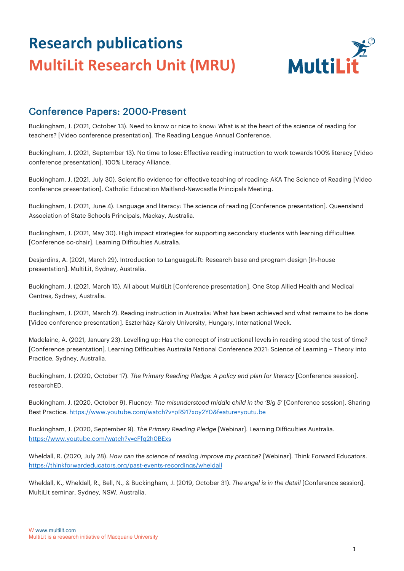

#### Conference Papers: 2000-Present

Buckingham, J. (2021, October 13). Need to know or nice to know: What is at the heart of the science of reading for teachers? [Video conference presentation]. The Reading League Annual Conference.

Buckingham, J. (2021, September 13). No time to lose: Effective reading instruction to work towards 100% literacy [Video conference presentation]. 100% Literacy Alliance.

Buckingham, J. (2021, July 30). Scientific evidence for effective teaching of reading: AKA The Science of Reading [Video conference presentation]. Catholic Education Maitland-Newcastle Principals Meeting.

Buckingham, J. (2021, June 4). Language and literacy: The science of reading [Conference presentation]. Queensland Association of State Schools Principals, Mackay, Australia.

Buckingham, J. (2021, May 30). High impact strategies for supporting secondary students with learning difficulties [Conference co-chair]. Learning Difficulties Australia.

Desjardins, A. (2021, March 29). Introduction to LanguageLift: Research base and program design [In-house presentation]. MultiLit, Sydney, Australia.

Buckingham, J. (2021, March 15). All about MultiLit [Conference presentation]. One Stop Allied Health and Medical Centres, Sydney, Australia.

Buckingham, J. (2021, March 2). Reading instruction in Australia: What has been achieved and what remains to be done [Video conference presentation]. Eszterházy Károly University, Hungary, International Week.

Madelaine, A. (2021, January 23). Levelling up: Has the concept of instructional levels in reading stood the test of time? [Conference presentation]. Learning Difficulties Australia National Conference 2021: Science of Learning – Theory into Practice, Sydney, Australia.

Buckingham, J. (2020, October 17). *The Primary Reading Pledge: A policy and plan for literacy* [Conference session]. researchED.

Buckingham, J. (2020, October 9). Fluency: *The misunderstood middle child in the 'Big 5'* [Conference session]. Sharing Best Practice[. https://www.youtube.com/watch?v=pR917xoy2Y0&feature=youtu.be](https://www.youtube.com/watch?v=pR917xoy2Y0&feature=youtu.be)

Buckingham, J. (2020, September 9). *The Primary Reading Pledge* [Webinar]. Learning Difficulties Australia. <https://www.youtube.com/watch?v=cFfq2h0BExs>

Wheldall, R. (2020, July 28). *How can the science of reading improve my practice?* [Webinar]. Think Forward Educators. <https://thinkforwardeducators.org/past-events-recordings/wheldall>

Wheldall, K., Wheldall, R., Bell, N., & Buckingham, J. (2019, October 31). *The angel is in the detail* [Conference session]. MultiLit seminar, Sydney, NSW, Australia.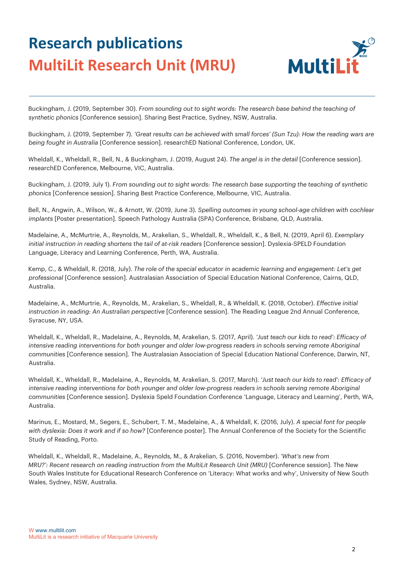

Buckingham, J. (2019, September 30). *From sounding out to sight words: The research base behind the teaching of synthetic phonics* [Conference session]. Sharing Best Practice, Sydney, NSW, Australia.

Buckingham, J. (2019, September 7). *'Great results can be achieved with small forces' (Sun Tzu): How the reading wars are being fought in Australia* [Conference session]. researchED National Conference, London, UK.

Wheldall, K., Wheldall, R., Bell, N., & Buckingham, J. (2019, August 24). *The angel is in the detail* [Conference session]. researchED Conference, Melbourne, VIC, Australia.

Buckingham, J. (2019, July 1). *From sounding out to sight words: The research base supporting the teaching of synthetic phonics* [Conference session]. Sharing Best Practice Conference, Melbourne, VIC, Australia.

Bell, N., Angwin, A., Wilson, W., & Arnott, W. (2019, June 3). *Spelling outcomes in young school-age children with cochlear implants* [Poster presentation]. Speech Pathology Australia (SPA) Conference, Brisbane, QLD, Australia.

Madelaine, A., McMurtrie, A., Reynolds, M., Arakelian, S., Wheldall, R., Wheldall, K., & Bell, N. (2019, April 6). *Exemplary initial instruction in reading shortens the tail of at-risk readers* [Conference session]. Dyslexia-SPELD Foundation Language, Literacy and Learning Conference, Perth, WA, Australia.

Kemp, C., & Wheldall, R. (2018, July). *The role of the special educator in academic learning and engagement: Let's get professional* [Conference session]. Australasian Association of Special Education National Conference, Cairns, QLD, Australia.

Madelaine, A., McMurtrie, A., Reynolds, M., Arakelian, S., Wheldall, R., & Wheldall, K. (2018, October). *Effective initial instruction in reading: An Australian perspective* [Conference session]. The Reading League 2nd Annual Conference, Syracuse, NY, USA.

Wheldall, K., Wheldall, R., Madelaine, A., Reynolds, M, Arakelian, S. (2017, April). *'Just teach our kids to read': Efficacy of intensive reading interventions for both younger and older low-progress readers in schools serving remote Aboriginal communities* [Conference session]. The Australasian Association of Special Education National Conference, Darwin, NT, Australia.

Wheldall, K., Wheldall, R., Madelaine, A., Reynolds, M, Arakelian, S. (2017, March). *'Just teach our kids to read': Efficacy of intensive reading interventions for both younger and older low-progress readers in schools serving remote Aboriginal communities* [Conference session]. Dyslexia Speld Foundation Conference 'Language, Literacy and Learning', Perth, WA, Australia.

Marinus, E., Mostard, M., Segers, E., Schubert, T. M., Madelaine, A., & Wheldall, K. (2016, July). *A special font for people with dyslexia: Does it work and if so how?* [Conference poster]. The Annual Conference of the Society for the Scientific Study of Reading, Porto.

Wheldall, K., Wheldall, R., Madelaine, A., Reynolds, M., & Arakelian, S. (2016, November). *'What's new from MRU?': Recent research on reading instruction from the MultiLit Research Unit (MRU)* [Conference session]. The New South Wales Institute for Educational Research Conference on 'Literacy: What works and why', University of New South Wales, Sydney, NSW, Australia.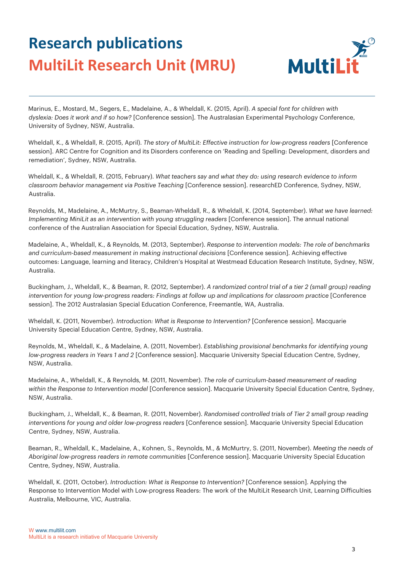

Marinus, E., Mostard, M., Segers, E., Madelaine, A., & Wheldall, K. (2015, April). *A special font for children with dyslexia: Does it work and if so how?* [Conference session]. The Australasian Experimental Psychology Conference, University of Sydney, NSW, Australia.

Wheldall, K., & Wheldall, R. (2015, April). *The story of MultiLit: Effective instruction for low-progress readers* [Conference session]. ARC Centre for Cognition and its Disorders conference on 'Reading and Spelling: Development, disorders and remediation', Sydney, NSW, Australia.

Wheldall, K., & Wheldall, R. (2015, February). *What teachers say and what they do: using research evidence to inform classroom behavior management via Positive Teaching* [Conference session]. researchED Conference, Sydney, NSW, Australia.

Reynolds, M., Madelaine, A., McMurtry, S., Beaman-Wheldall, R., & Wheldall, K. (2014, September). *What we have learned: Implementing MiniLit as an intervention with young struggling readers* [Conference session]. The annual national conference of the Australian Association for Special Education, Sydney, NSW, Australia.

Madelaine, A., Wheldall, K., & Reynolds, M. (2013, September). *Response to intervention models: The role of benchmarks and curriculum-based measurement in making instructional decisions* [Conference session]. Achieving effective outcomes: Language, learning and literacy, Children's Hospital at Westmead Education Research Institute, Sydney, NSW, Australia.

Buckingham, J., Wheldall, K., & Beaman, R. (2012, September). *A randomized control trial of a tier 2 (small group) reading intervention for young low-progress readers: Findings at follow up and implications for classroom practice* [Conference session]. The 2012 Australasian Special Education Conference, Freemantle, WA, Australia.

Wheldall, K. (2011, November). *Introduction: What is Response to Intervention?* [Conference session]. Macquarie University Special Education Centre, Sydney, NSW, Australia.

Reynolds, M., Wheldall, K., & Madelaine, A. (2011, November). *Establishing provisional benchmarks for identifying young low-progress readers in Years 1 and 2* [Conference session]. Macquarie University Special Education Centre, Sydney, NSW, Australia.

Madelaine, A., Wheldall, K., & Reynolds, M. (2011, November). *The role of curriculum-based measurement of reading within the Response to Intervention model* [Conference session]. Macquarie University Special Education Centre, Sydney, NSW, Australia.

Buckingham, J., Wheldall, K., & Beaman, R. (2011, November). *Randomised controlled trials of Tier 2 small group reading interventions for young and older low-progress readers* [Conference session]. Macquarie University Special Education Centre, Sydney, NSW, Australia.

Beaman, R., Wheldall, K., Madelaine, A., Kohnen, S., Reynolds, M., & McMurtry, S. (2011, November). *Meeting the needs of Aboriginal low-progress readers in remote communities* [Conference session]. Macquarie University Special Education Centre, Sydney, NSW, Australia.

Wheldall, K. (2011, October). *Introduction: What is Response to Intervention?* [Conference session]. Applying the Response to Intervention Model with Low-progress Readers: The work of the MultiLit Research Unit, Learning Difficulties Australia, Melbourne, VIC, Australia.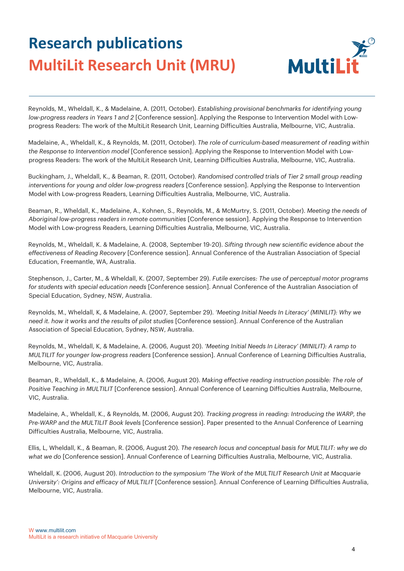

Reynolds, M., Wheldall, K., & Madelaine, A. (2011, October). *Establishing provisional benchmarks for identifying young low-progress readers in Years 1 and 2* [Conference session]. Applying the Response to Intervention Model with Lowprogress Readers: The work of the MultiLit Research Unit, Learning Difficulties Australia, Melbourne, VIC, Australia.

Madelaine, A., Wheldall, K., & Reynolds, M. (2011, October). *The role of curriculum-based measurement of reading within the Response to Intervention model* [Conference session]. Applying the Response to Intervention Model with Lowprogress Readers: The work of the MultiLit Research Unit, Learning Difficulties Australia, Melbourne, VIC, Australia.

Buckingham, J., Wheldall, K., & Beaman, R. (2011, October). *Randomised controlled trials of Tier 2 small group reading interventions for young and older low-progress readers* [Conference session]. Applying the Response to Intervention Model with Low-progress Readers, Learning Difficulties Australia, Melbourne, VIC, Australia.

Beaman, R., Wheldall, K., Madelaine, A., Kohnen, S., Reynolds, M., & McMurtry, S. (2011, October). *Meeting the needs of Aboriginal low-progress readers in remote communities* [Conference session]. Applying the Response to Intervention Model with Low-progress Readers, Learning Difficulties Australia, Melbourne, VIC, Australia.

Reynolds, M., Wheldall, K. & Madelaine, A. (2008, September 19-20). *Sifting through new scientific evidence about the effectiveness of Reading Recovery* [Conference session]. Annual Conference of the Australian Association of Special Education, Freemantle, WA, Australia.

Stephenson, J., Carter, M., & Wheldall, K. (2007, September 29). *Futile exercises: The use of perceptual motor programs for students with special education needs* [Conference session]. Annual Conference of the Australian Association of Special Education, Sydney, NSW, Australia.

Reynolds, M., Wheldall, K, & Madelaine, A. (2007, September 29). *'Meeting Initial Needs In Literacy' (MINILIT): Why we need it. how it works and the results of pilot studies* [Conference session]. Annual Conference of the Australian Association of Special Education, Sydney, NSW, Australia.

Reynolds, M., Wheldall, K, & Madelaine, A. (2006, August 20). *'Meeting Initial Needs In Literacy' (MINILIT): A ramp to MULTILIT for younger low-progress readers* [Conference session]. Annual Conference of Learning Difficulties Australia, Melbourne, VIC, Australia.

Beaman, R., Wheldall, K., & Madelaine, A. (2006, August 20). *Making effective reading instruction possible: The role of Positive Teaching in MULTILIT* [Conference session]. Annual Conference of Learning Difficulties Australia, Melbourne, VIC, Australia.

Madelaine, A., Wheldall, K., & Reynolds, M. (2006, August 20). *Tracking progress in reading: Introducing the WARP, the Pre-WARP and the MULTILIT Book levels* [Conference session]. Paper presented to the Annual Conference of Learning Difficulties Australia, Melbourne, VIC, Australia.

Ellis, L, Wheldall, K., & Beaman, R. (2006, August 20). *The research locus and conceptual basis for MULTILIT: why we do what we do* [Conference session]. Annual Conference of Learning Difficulties Australia, Melbourne, VIC, Australia.

Wheldall, K. (2006, August 20). *Introduction to the symposium 'The Work of the MULTILIT Research Unit at Macquarie University': Origins and efficacy of MULTILIT* [Conference session]. Annual Conference of Learning Difficulties Australia, Melbourne, VIC, Australia.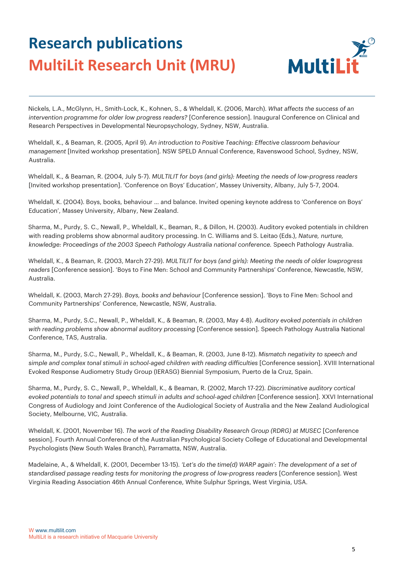

Nickels, L.A., McGlynn, H., Smith-Lock, K., Kohnen, S., & Wheldall, K. (2006, March). *What affects the success of an intervention programme for older low progress readers?* [Conference session]. Inaugural Conference on Clinical and Research Perspectives in Developmental Neuropsychology, Sydney, NSW, Australia.

Wheldall, K., & Beaman, R. (2005, April 9). *An introduction to Positive Teaching: Effective classroom behaviour management* [Invited workshop presentation]. NSW SPELD Annual Conference, Ravenswood School, Sydney, NSW, Australia.

Wheldall, K., & Beaman, R. (2004, July 5-7). *MULTILIT for boys (and girls): Meeting the needs of low-progress readers* [Invited workshop presentation]. 'Conference on Boys' Education', Massey University, Albany, July 5-7, 2004.

Wheldall, K. (2004). Boys, books, behaviour … and balance. Invited opening keynote address to 'Conference on Boys' Education', Massey University, Albany, New Zealand.

Sharma, M., Purdy, S. C., Newall, P., Wheldall, K., Beaman, R., & Dillon, H. (2003). Auditory evoked potentials in children with reading problems show abnormal auditory processing. In C. Williams and S. Leitao (Eds.), *Nature, nurture, knowledge: Proceedings of the 2003 Speech Pathology Australia national conference.* Speech Pathology Australia.

Wheldall, K., & Beaman, R. (2003, March 27-29). *MULTILIT for boys (and girls): Meeting the needs of older lowprogress readers* [Conference session]. 'Boys to Fine Men: School and Community Partnerships' Conference, Newcastle, NSW, Australia.

Wheldall, K. (2003, March 27-29). *Boys, books and behaviour* [Conference session]. 'Boys to Fine Men: School and Community Partnerships' Conference, Newcastle, NSW, Australia.

Sharma, M., Purdy, S.C., Newall, P., Wheldall, K., & Beaman, R. (2003, May 4-8). *Auditory evoked potentials in children with reading problems show abnormal auditory processing* [Conference session]. Speech Pathology Australia National Conference, TAS, Australia.

Sharma, M., Purdy, S.C., Newall, P., Wheldall, K., & Beaman, R. (2003, June 8-12). *Mismatch negativity to speech and simple and complex tonal stimuli in school-aged children with reading difficulties* [Conference session]. XVIII International Evoked Response Audiometry Study Group (IERASG) Biennial Symposium, Puerto de la Cruz, Spain.

Sharma, M., Purdy, S. C., Newall, P., Wheldall, K., & Beaman, R. (2002, March 17-22). *Discriminative auditory cortical evoked potentials to tonal and speech stimuli in adults and school-aged children* [Conference session]. XXVI International Congress of Audiology and Joint Conference of the Audiological Society of Australia and the New Zealand Audiological Society, Melbourne, VIC, Australia.

Wheldall, K. (2001, November 16). *The work of the Reading Disability Research Group (RDRG) at MUSEC* [Conference session]. Fourth Annual Conference of the Australian Psychological Society College of Educational and Developmental Psychologists (New South Wales Branch), Parramatta, NSW, Australia.

Madelaine, A., & Wheldall, K. (2001, December 13-15). *'Let's do the time(d) WARP again': The development of a set of standardised passage reading tests for monitoring the progress of low-progress readers* [Conference session]. West Virginia Reading Association 46th Annual Conference, White Sulphur Springs, West Virginia, USA.